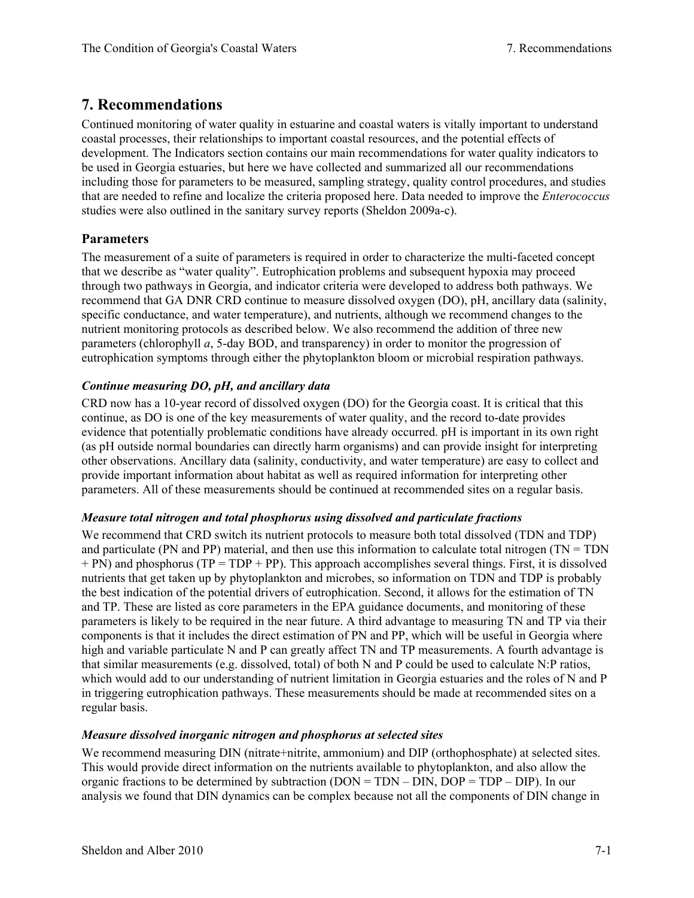# **7. Recommendations**

Continued monitoring of water quality in estuarine and coastal waters is vitally important to understand coastal processes, their relationships to important coastal resources, and the potential effects of development. The Indicators section contains our main recommendations for water quality indicators to be used in Georgia estuaries, but here we have collected and summarized all our recommendations including those for parameters to be measured, sampling strategy, quality control procedures, and studies that are needed to refine and localize the criteria proposed here. Data needed to improve the *Enterococcus* studies were also outlined in the sanitary survey reports (Sheldon 2009a-c).

## **Parameters**

The measurement of a suite of parameters is required in order to characterize the multi-faceted concept that we describe as "water quality". Eutrophication problems and subsequent hypoxia may proceed through two pathways in Georgia, and indicator criteria were developed to address both pathways. We recommend that GA DNR CRD continue to measure dissolved oxygen (DO), pH, ancillary data (salinity, specific conductance, and water temperature), and nutrients, although we recommend changes to the nutrient monitoring protocols as described below. We also recommend the addition of three new parameters (chlorophyll *a*, 5-day BOD, and transparency) in order to monitor the progression of eutrophication symptoms through either the phytoplankton bloom or microbial respiration pathways.

## *Continue measuring DO, pH, and ancillary data*

CRD now has a 10-year record of dissolved oxygen (DO) for the Georgia coast. It is critical that this continue, as DO is one of the key measurements of water quality, and the record to-date provides evidence that potentially problematic conditions have already occurred. pH is important in its own right (as pH outside normal boundaries can directly harm organisms) and can provide insight for interpreting other observations. Ancillary data (salinity, conductivity, and water temperature) are easy to collect and provide important information about habitat as well as required information for interpreting other parameters. All of these measurements should be continued at recommended sites on a regular basis.

## *Measure total nitrogen and total phosphorus using dissolved and particulate fractions*

We recommend that CRD switch its nutrient protocols to measure both total dissolved (TDN and TDP) and particulate (PN and PP) material, and then use this information to calculate total nitrogen (TN = TDN  $+$  PN) and phosphorus (TP = TDP + PP). This approach accomplishes several things. First, it is dissolved nutrients that get taken up by phytoplankton and microbes, so information on TDN and TDP is probably the best indication of the potential drivers of eutrophication. Second, it allows for the estimation of TN and TP. These are listed as core parameters in the EPA guidance documents, and monitoring of these parameters is likely to be required in the near future. A third advantage to measuring TN and TP via their components is that it includes the direct estimation of PN and PP, which will be useful in Georgia where high and variable particulate N and P can greatly affect TN and TP measurements. A fourth advantage is that similar measurements (e.g. dissolved, total) of both N and P could be used to calculate N:P ratios, which would add to our understanding of nutrient limitation in Georgia estuaries and the roles of N and P in triggering eutrophication pathways. These measurements should be made at recommended sites on a regular basis.

## *Measure dissolved inorganic nitrogen and phosphorus at selected sites*

We recommend measuring DIN (nitrate+nitrite, ammonium) and DIP (orthophosphate) at selected sites. This would provide direct information on the nutrients available to phytoplankton, and also allow the organic fractions to be determined by subtraction ( $DOM = TDN - DIN$ ,  $DOP = TDP - DIP$ ). In our analysis we found that DIN dynamics can be complex because not all the components of DIN change in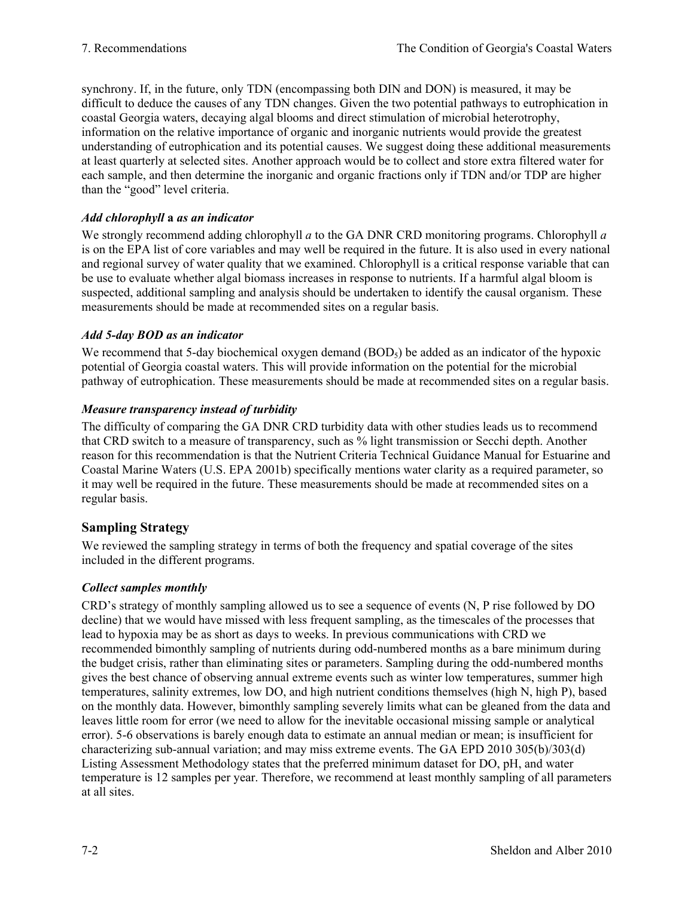synchrony. If, in the future, only TDN (encompassing both DIN and DON) is measured, it may be difficult to deduce the causes of any TDN changes. Given the two potential pathways to eutrophication in coastal Georgia waters, decaying algal blooms and direct stimulation of microbial heterotrophy, information on the relative importance of organic and inorganic nutrients would provide the greatest understanding of eutrophication and its potential causes. We suggest doing these additional measurements at least quarterly at selected sites. Another approach would be to collect and store extra filtered water for each sample, and then determine the inorganic and organic fractions only if TDN and/or TDP are higher than the "good" level criteria.

## *Add chlorophyll* **a** *as an indicator*

We strongly recommend adding chlorophyll *a* to the GA DNR CRD monitoring programs. Chlorophyll *a* is on the EPA list of core variables and may well be required in the future. It is also used in every national and regional survey of water quality that we examined. Chlorophyll is a critical response variable that can be use to evaluate whether algal biomass increases in response to nutrients. If a harmful algal bloom is suspected, additional sampling and analysis should be undertaken to identify the causal organism. These measurements should be made at recommended sites on a regular basis.

## *Add 5-day BOD as an indicator*

We recommend that 5-day biochemical oxygen demand  $(BOD<sub>5</sub>)$  be added as an indicator of the hypoxic potential of Georgia coastal waters. This will provide information on the potential for the microbial pathway of eutrophication. These measurements should be made at recommended sites on a regular basis.

## *Measure transparency instead of turbidity*

The difficulty of comparing the GA DNR CRD turbidity data with other studies leads us to recommend that CRD switch to a measure of transparency, such as % light transmission or Secchi depth. Another reason for this recommendation is that the Nutrient Criteria Technical Guidance Manual for Estuarine and Coastal Marine Waters (U.S. EPA 2001b) specifically mentions water clarity as a required parameter, so it may well be required in the future. These measurements should be made at recommended sites on a regular basis.

## **Sampling Strategy**

We reviewed the sampling strategy in terms of both the frequency and spatial coverage of the sites included in the different programs.

## *Collect samples monthly*

CRD's strategy of monthly sampling allowed us to see a sequence of events (N, P rise followed by DO decline) that we would have missed with less frequent sampling, as the timescales of the processes that lead to hypoxia may be as short as days to weeks. In previous communications with CRD we recommended bimonthly sampling of nutrients during odd-numbered months as a bare minimum during the budget crisis, rather than eliminating sites or parameters. Sampling during the odd-numbered months gives the best chance of observing annual extreme events such as winter low temperatures, summer high temperatures, salinity extremes, low DO, and high nutrient conditions themselves (high N, high P), based on the monthly data. However, bimonthly sampling severely limits what can be gleaned from the data and leaves little room for error (we need to allow for the inevitable occasional missing sample or analytical error). 5-6 observations is barely enough data to estimate an annual median or mean; is insufficient for characterizing sub-annual variation; and may miss extreme events. The GA EPD 2010 305(b)/303(d) Listing Assessment Methodology states that the preferred minimum dataset for DO, pH, and water temperature is 12 samples per year. Therefore, we recommend at least monthly sampling of all parameters at all sites.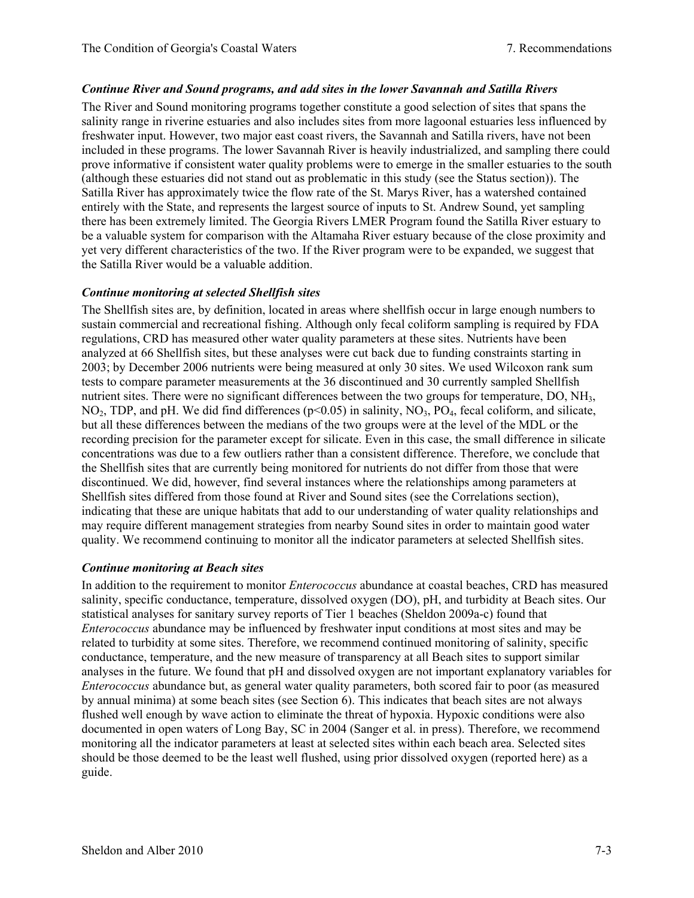#### *Continue River and Sound programs, and add sites in the lower Savannah and Satilla Rivers*

The River and Sound monitoring programs together constitute a good selection of sites that spans the salinity range in riverine estuaries and also includes sites from more lagoonal estuaries less influenced by freshwater input. However, two major east coast rivers, the Savannah and Satilla rivers, have not been included in these programs. The lower Savannah River is heavily industrialized, and sampling there could prove informative if consistent water quality problems were to emerge in the smaller estuaries to the south (although these estuaries did not stand out as problematic in this study (see the Status section)). The Satilla River has approximately twice the flow rate of the St. Marys River, has a watershed contained entirely with the State, and represents the largest source of inputs to St. Andrew Sound, yet sampling there has been extremely limited. The Georgia Rivers LMER Program found the Satilla River estuary to be a valuable system for comparison with the Altamaha River estuary because of the close proximity and yet very different characteristics of the two. If the River program were to be expanded, we suggest that the Satilla River would be a valuable addition.

#### *Continue monitoring at selected Shellfish sites*

The Shellfish sites are, by definition, located in areas where shellfish occur in large enough numbers to sustain commercial and recreational fishing. Although only fecal coliform sampling is required by FDA regulations, CRD has measured other water quality parameters at these sites. Nutrients have been analyzed at 66 Shellfish sites, but these analyses were cut back due to funding constraints starting in 2003; by December 2006 nutrients were being measured at only 30 sites. We used Wilcoxon rank sum tests to compare parameter measurements at the 36 discontinued and 30 currently sampled Shellfish nutrient sites. There were no significant differences between the two groups for temperature, DO, NH3, NO<sub>2</sub>, TDP, and pH. We did find differences ( $p<0.05$ ) in salinity, NO<sub>3</sub>, PO<sub>4</sub>, fecal coliform, and silicate, but all these differences between the medians of the two groups were at the level of the MDL or the recording precision for the parameter except for silicate. Even in this case, the small difference in silicate concentrations was due to a few outliers rather than a consistent difference. Therefore, we conclude that the Shellfish sites that are currently being monitored for nutrients do not differ from those that were discontinued. We did, however, find several instances where the relationships among parameters at Shellfish sites differed from those found at River and Sound sites (see the Correlations section), indicating that these are unique habitats that add to our understanding of water quality relationships and may require different management strategies from nearby Sound sites in order to maintain good water quality. We recommend continuing to monitor all the indicator parameters at selected Shellfish sites.

#### *Continue monitoring at Beach sites*

In addition to the requirement to monitor *Enterococcus* abundance at coastal beaches, CRD has measured salinity, specific conductance, temperature, dissolved oxygen (DO), pH, and turbidity at Beach sites. Our statistical analyses for sanitary survey reports of Tier 1 beaches (Sheldon 2009a-c) found that *Enterococcus* abundance may be influenced by freshwater input conditions at most sites and may be related to turbidity at some sites. Therefore, we recommend continued monitoring of salinity, specific conductance, temperature, and the new measure of transparency at all Beach sites to support similar analyses in the future. We found that pH and dissolved oxygen are not important explanatory variables for *Enterococcus* abundance but, as general water quality parameters, both scored fair to poor (as measured by annual minima) at some beach sites (see Section 6). This indicates that beach sites are not always flushed well enough by wave action to eliminate the threat of hypoxia. Hypoxic conditions were also documented in open waters of Long Bay, SC in 2004 (Sanger et al. in press). Therefore, we recommend monitoring all the indicator parameters at least at selected sites within each beach area. Selected sites should be those deemed to be the least well flushed, using prior dissolved oxygen (reported here) as a guide.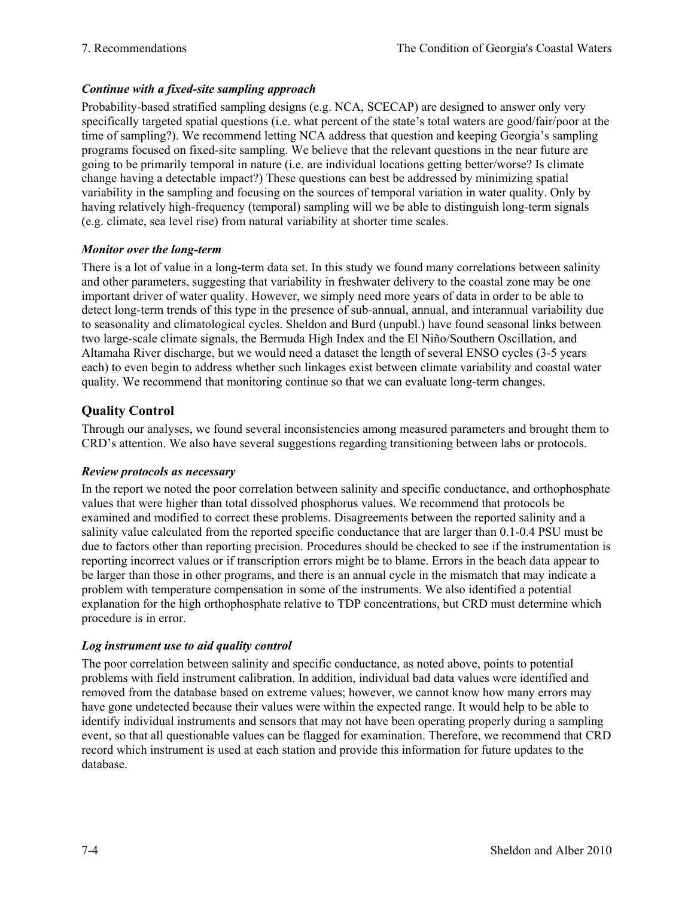## *Continue with a fixed-site sampling approach*

Probability-based stratified sampling designs (e.g. NCA, SCECAP) are designed to answer only very specifically targeted spatial questions (i.e. what percent of the state's total waters are good/fair/poor at the time of sampling?). We recommend letting NCA address that question and keeping Georgia's sampling programs focused on fixed-site sampling. We believe that the relevant questions in the near future are going to be primarily temporal in nature (i.e. are individual locations getting better/worse? Is climate change having a detectable impact?) These questions can best be addressed by minimizing spatial variability in the sampling and focusing on the sources of temporal variation in water quality. Only by having relatively high-frequency (temporal) sampling will we be able to distinguish long-term signals (e.g. climate, sea level rise) from natural variability at shorter time scales.

## *Monitor over the long-term*

There is a lot of value in a long-term data set. In this study we found many correlations between salinity and other parameters, suggesting that variability in freshwater delivery to the coastal zone may be one important driver of water quality. However, we simply need more years of data in order to be able to detect long-term trends of this type in the presence of sub-annual, annual, and interannual variability due to seasonality and climatological cycles. Sheldon and Burd (unpubl.) have found seasonal links between two large-scale climate signals, the Bermuda High Index and the El Niño/Southern Oscillation, and Altamaha River discharge, but we would need a dataset the length of several ENSO cycles (3-5 years each) to even begin to address whether such linkages exist between climate variability and coastal water quality. We recommend that monitoring continue so that we can evaluate long-term changes.

# **Quality Control**

Through our analyses, we found several inconsistencies among measured parameters and brought them to CRD's attention. We also have several suggestions regarding transitioning between labs or protocols.

## *Review protocols as necessary*

In the report we noted the poor correlation between salinity and specific conductance, and orthophosphate values that were higher than total dissolved phosphorus values. We recommend that protocols be examined and modified to correct these problems. Disagreements between the reported salinity and a salinity value calculated from the reported specific conductance that are larger than 0.1-0.4 PSU must be due to factors other than reporting precision. Procedures should be checked to see if the instrumentation is reporting incorrect values or if transcription errors might be to blame. Errors in the beach data appear to be larger than those in other programs, and there is an annual cycle in the mismatch that may indicate a problem with temperature compensation in some of the instruments. We also identified a potential explanation for the high orthophosphate relative to TDP concentrations, but CRD must determine which procedure is in error.

## *Log instrument use to aid quality control*

The poor correlation between salinity and specific conductance, as noted above, points to potential problems with field instrument calibration. In addition, individual bad data values were identified and removed from the database based on extreme values; however, we cannot know how many errors may have gone undetected because their values were within the expected range. It would help to be able to identify individual instruments and sensors that may not have been operating properly during a sampling event, so that all questionable values can be flagged for examination. Therefore, we recommend that CRD record which instrument is used at each station and provide this information for future updates to the database.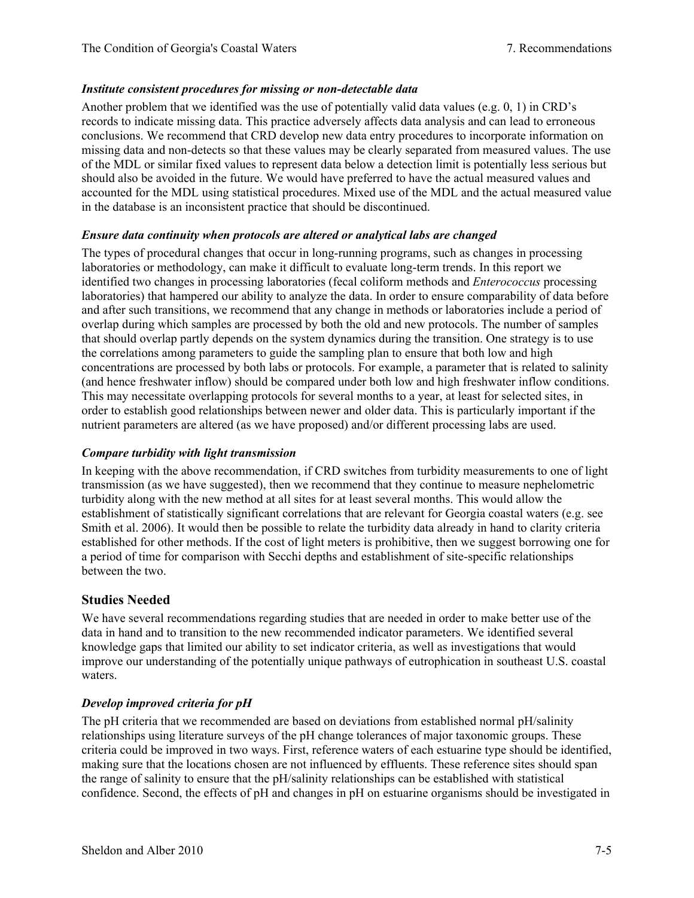## *Institute consistent procedures for missing or non-detectable data*

Another problem that we identified was the use of potentially valid data values (e.g. 0, 1) in CRD's records to indicate missing data. This practice adversely affects data analysis and can lead to erroneous conclusions. We recommend that CRD develop new data entry procedures to incorporate information on missing data and non-detects so that these values may be clearly separated from measured values. The use of the MDL or similar fixed values to represent data below a detection limit is potentially less serious but should also be avoided in the future. We would have preferred to have the actual measured values and accounted for the MDL using statistical procedures. Mixed use of the MDL and the actual measured value in the database is an inconsistent practice that should be discontinued.

## *Ensure data continuity when protocols are altered or analytical labs are changed*

The types of procedural changes that occur in long-running programs, such as changes in processing laboratories or methodology, can make it difficult to evaluate long-term trends. In this report we identified two changes in processing laboratories (fecal coliform methods and *Enterococcus* processing laboratories) that hampered our ability to analyze the data. In order to ensure comparability of data before and after such transitions, we recommend that any change in methods or laboratories include a period of overlap during which samples are processed by both the old and new protocols. The number of samples that should overlap partly depends on the system dynamics during the transition. One strategy is to use the correlations among parameters to guide the sampling plan to ensure that both low and high concentrations are processed by both labs or protocols. For example, a parameter that is related to salinity (and hence freshwater inflow) should be compared under both low and high freshwater inflow conditions. This may necessitate overlapping protocols for several months to a year, at least for selected sites, in order to establish good relationships between newer and older data. This is particularly important if the nutrient parameters are altered (as we have proposed) and/or different processing labs are used.

## *Compare turbidity with light transmission*

In keeping with the above recommendation, if CRD switches from turbidity measurements to one of light transmission (as we have suggested), then we recommend that they continue to measure nephelometric turbidity along with the new method at all sites for at least several months. This would allow the establishment of statistically significant correlations that are relevant for Georgia coastal waters (e.g. see Smith et al. 2006). It would then be possible to relate the turbidity data already in hand to clarity criteria established for other methods. If the cost of light meters is prohibitive, then we suggest borrowing one for a period of time for comparison with Secchi depths and establishment of site-specific relationships between the two.

## **Studies Needed**

We have several recommendations regarding studies that are needed in order to make better use of the data in hand and to transition to the new recommended indicator parameters. We identified several knowledge gaps that limited our ability to set indicator criteria, as well as investigations that would improve our understanding of the potentially unique pathways of eutrophication in southeast U.S. coastal waters.

## *Develop improved criteria for pH*

The pH criteria that we recommended are based on deviations from established normal pH/salinity relationships using literature surveys of the pH change tolerances of major taxonomic groups. These criteria could be improved in two ways. First, reference waters of each estuarine type should be identified, making sure that the locations chosen are not influenced by effluents. These reference sites should span the range of salinity to ensure that the pH/salinity relationships can be established with statistical confidence. Second, the effects of pH and changes in pH on estuarine organisms should be investigated in